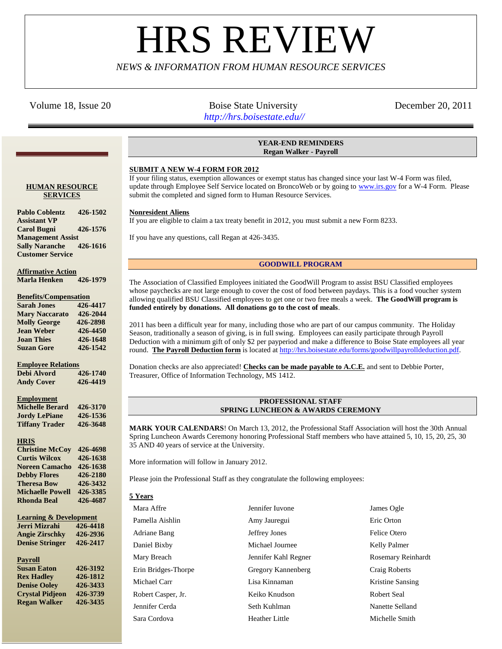# **HRS REVIE**

# *NEWS & INFORMATION FROM HUMAN RESOURCE SERVICES*

## Volume 18, Issue 20 **Boise State University** December 20, 2011

 *http://hrs.boisestate.edu//*

### **YEAR-END REMINDERS Regan Walker - Payroll**

## **SUBMIT A NEW W-4 FORM FOR 2012**

If your filing status, exemption allowances or exempt status has changed since your last W-4 Form was filed, update through Employee Self Service located on BroncoWeb or by going to [www.irs.gov](http://www.irs.gov/) for a W-4 Form. Please submit the completed and signed form to Human Resource Services.

#### **Nonresident Aliens**

If you are eligible to claim a tax treaty benefit in 2012, you must submit a new Form 8233.

If you have any questions, call Regan at 426-3435.

#### **GOODWILL PROGRAM**

The Association of Classified Employees initiated the GoodWill Program to assist BSU Classified employees whose paychecks are not large enough to cover the cost of food between paydays. This is a food voucher system allowing qualified BSU Classified employees to get one or two free meals a week. **The GoodWill program is funded entirely by donations. All donations go to the cost of meals**.

2011 has been a difficult year for many, including those who are part of our campus community. The Holiday Season, traditionally a season of giving, is in full swing. Employees can easily participate through Payroll Deduction with a minimum gift of only \$2 per payperiod and make a difference to Boise State employees all year round. **The Payroll Deduction form** is located at [http://hrs.boisestate.edu/forms/goodwillpayrolldeduction.pdf.](http://hrs.boisestate.edu/forms/goodwillpayrolldeduction.pdf)

Donation checks are also appreciated! **Checks can be made payable to A.C.E.** and sent to Debbie Porter, Treasurer, Office of Information Technology, MS 1412.

#### **PROFESSIONAL STAFF SPRING LUNCHEON & AWARDS CEREMONY**

**MARK YOUR CALENDARS**! On March 13, 2012, the Professional Staff Association will host the 30th Annual Spring Luncheon Awards Ceremony honoring Professional Staff members who have attained 5, 10, 15, 20, 25, 30 35 AND 40 years of service at the University.

More information will follow in January 2012.

Please join the Professional Staff as they congratulate the following employees:

#### **5 Years**

| Mara Affre          | Jennifer Iuvone      | James Ogle                |
|---------------------|----------------------|---------------------------|
| Pamella Aishlin     | Amy Jauregui         | Eric Orton                |
| Adriane Bang        | Jeffrey Jones        | Felice Otero              |
| Daniel Bixby        | Michael Journee      | Kelly Palmer              |
| Mary Breach         | Jennifer Kahl Regner | <b>Rosemary Reinhardt</b> |
| Erin Bridges-Thorpe | Gregory Kannenberg   | Craig Roberts             |
| Michael Carr        | Lisa Kinnaman        | Kristine Sansing          |
| Robert Casper, Jr.  | Keiko Knudson        | Robert Seal               |
| Jennifer Cerda      | Seth Kuhlman         | Nanette Selland           |
| Sara Cordova        | Heather Little       | Michelle Smith            |

#### **HUMAN RESOURCE SERVICES**

**Pablo Coblentz 426-1502 Assistant VP Carol Bugni 426-1576 Management Assist Sally Naranche 426-1616 Customer Service**

**Affirmative Action Marla Henken 426-1979**

#### **Benefits/Compensation**

| <b>Sarah Jones</b>    | 426-4417 |
|-----------------------|----------|
| <b>Mary Naccarato</b> | 426-2044 |
| <b>Molly George</b>   | 426-2898 |
| <b>Jean Weber</b>     | 426-4450 |
| <b>Joan Thies</b>     | 426-1648 |
| <b>Suzan Gore</b>     | 426-1542 |

#### **Employee Relations**

**Debi Alvord 426-1740 Andy Cover 426-4419**

#### **Employment**

| <b>Michelle Berard</b> | 426-3170 |
|------------------------|----------|
| <b>Jordy LePiane</b>   | 426-1536 |
| <b>Tiffany Trader</b>  | 426-3648 |

#### **HRIS**

| <b>Christine McCov</b>  | 426-4698 |
|-------------------------|----------|
| <b>Curtis Wilcox</b>    | 426-1638 |
| <b>Noreen Camacho</b>   | 426-1638 |
| <b>Debby Flores</b>     | 426-2180 |
| <b>Theresa Bow</b>      | 426-3432 |
| <b>Michaelle Powell</b> | 426-3385 |
| <b>Rhonda Beal</b>      | 426-4687 |

| Jerri Mizrahi          | 426-4418 |
|------------------------|----------|
| <b>Angie Zirschky</b>  | 426-2936 |
| <b>Denise Stringer</b> | 426-2417 |
|                        |          |

#### **Payroll**

| <b>Susan Eaton</b>     | 426-3192 |
|------------------------|----------|
| <b>Rex Hadley</b>      | 426-1812 |
| <b>Denise Oolev</b>    | 426-3433 |
| <b>Crystal Pidjeon</b> | 426-3739 |
| <b>Regan Walker</b>    | 426-3435 |
|                        |          |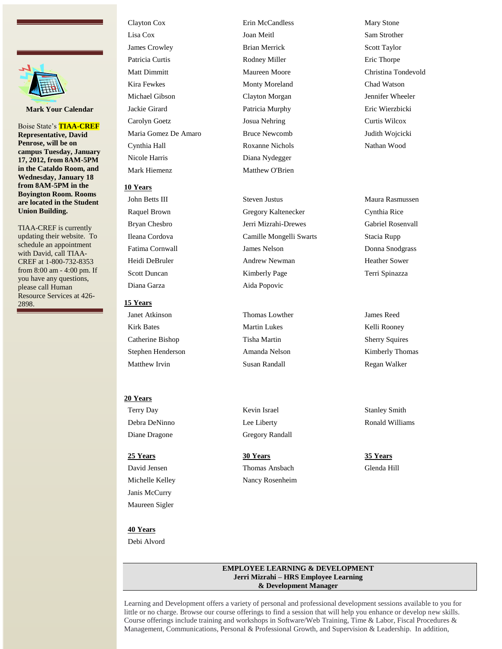

**Mark Your Calendar**

Boise State's **TIAA-CREF Representative, David Penrose, will be on campus Tuesday, January 17, 2012, from 8AM-5PM in the Cataldo Room, and Wednesday, January 18 from 8AM-5PM in the Boyington Room. Rooms are located in the Student Union Building.**

TIAA-CREF is currently updating their website. To schedule an appointment with David, call TIAA-CREF at 1-800-732-8353 from 8:00 am - 4:00 pm. If you have any questions, please call Human Resource Services at 426- 2898.

# Clayton Cox Erin McCandless Mary Stone Lisa Cox Joan Meitl Sam Strother **James Crowley 6 19 September 19 September 19 September 19 September 19 September 19 September 19 September 19 September 19 September 19 September 19 September 19 September 19 September 19 September 19 September 19 Septemb** Patricia Curtis **Rodney Miller** Eric Thorpe Matt Dimmitt **Maureen Moore** Christina Tondevold Kira Fewkes **Monty Moreland** Chad Watson Michael Gibson Clayton Morgan Jennifer Wheeler Jackie Girard Patricia Murphy Eric Wierzbicki Carolyn Goetz Josua Nehring Curtis Wilcox Maria Gomez De Amaro Bruce Newcomb Judith Wojcicki Cynthia Hall Roxanne Nichols Nathan Wood Nicole Harris Diana Nydegger

### **10 Years**

Diana Garza Aida Popovic

#### **15 Years**

Janet Atkinson Thomas Lowther James Reed Kirk Bates Martin Lukes Kelli Rooney Catherine Bishop Tisha Martin Sherry Squires Stephen Henderson **Amanda Nelson** Amanda Nelson Kimberly Thomas Matthew Irvin Susan Randall Regan Walker

#### **20 Years**

Diane Dragone Gregory Randall

**40 Years** Debi Alvord

Janis McCurry Maureen Sigler

Mark Hiemenz Matthew O'Brien

John Betts III Steven Justus Maura Rasmussen Raquel Brown Gregory Kaltenecker Cynthia Rice Bryan Chesbro Jerri Mizrahi-Drewes Gabriel Rosenvall Ileana Cordova Camille Mongelli Swarts Stacia Rupp Fatima Cornwall **Faction** James Nelson **Donna Snodgrass** Donna Snodgrass Heidi DeBruler **Andrew Newman** Heather Sower Scott Duncan **Kimberly Page** Terri Spinazza

Terry Day **Stanley Smith** Kevin Israel Stanley Stanley Smith

**25 Years 30 Years 35 Years** David Jensen Thomas Ansbach Glenda Hill Michelle Kelley Nancy Rosenheim

Debra DeNinno Lee Liberty Ronald Williams

#### **EMPLOYEE LEARNING & DEVELOPMENT Jerri Mizrahi – HRS Employee Learning & Development Manager**

Learning and Development offers a variety of personal and professional development sessions available to you for little or no charge. Browse our course offerings to find a session that will help you enhance or develop new skills. Course offerings include training and workshops in Software/Web Training, Time & Labor, Fiscal Procedures & Management, Communications, Personal & Professional Growth, and Supervision & Leadership. In addition,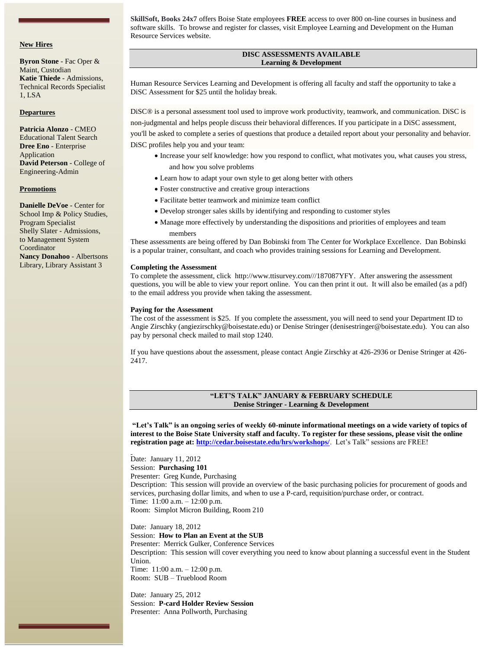#### **New Hires**

**Byron Stone** - Fac Oper & Maint, Custodian **Katie Thiede** - Admissions, Technical Records Specialist 1, LSA

#### **Departures**

#### **Patricia Alonzo** - CMEO Educational Talent Search **Dree Eno** - Enterprise Application **David Peterson** - College of Engineering-Admin

#### **Promotions**

**Danielle DeVoe** - Center for School Imp & Policy Studies, Program Specialist Shelly Slater - Admissions, to Management System Coordinator **Nancy Donahoo** - Albertsons Library, Library Assistant 3

**SkillSoft, Books 24x7** offers Boise State employees **FREE** access to over 800 on-line courses in business and software skills. To browse and register for classes, visit Employee Learning and Development on the Human Resource Services website.

#### **DISC ASSESSMENTS AVAILABLE Learning & Development**

Human Resource Services Learning and Development is offering all faculty and staff the opportunity to take a DiSC Assessment for \$25 until the holiday break.

DiSC® is a personal assessment tool used to improve work productivity, teamwork, and communication. DiSC is non-judgmental and helps people discuss their behavioral differences. If you participate in a DiSC assessment, you'll be asked to complete a series of questions that produce a detailed report about your personality and behavior. DiSC profiles help you and your team:

- Increase your self knowledge: how you respond to conflict, what motivates you, what causes you stress, and how you solve problems
- Learn how to adapt your own style to get along better with others
- Foster constructive and creative group interactions
- Facilitate better teamwork and minimize team conflict
- Develop stronger sales skills by identifying and responding to customer styles
- Manage more effectively by understanding the dispositions and priorities of employees and team members

These assessments are being offered by Dan Bobinski from [The Center for Workplace Excellence.](http://www.workplace-excellence.com/about-dan/) Dan Bobinski is a popular trainer, consultant, and coach who provides training sessions for Learning and Development.

#### **Completing the Assessment**

To complete the assessment, click [http://www.ttisurvey.com///187087YFY.](http://www.ttisurvey.com/187087YFY) After answering the assessment questions, you will be able to view your report online. You can then print it out. It will also be emailed (as a pdf) to the email address you provide when taking the assessment.

#### **Paying for the Assessment**

The cost of the assessment is \$25. If you complete the assessment, you will need to send your Department ID to Angie Zirschky [\(angiezirschky@boisestate.edu\)](mailto:angiezirschky@boisestate.edu) or Denise Stringer [\(denisestringer@boisestate.edu\)](mailto:denisestringer@boisestate.edu). You can also pay by personal check mailed to mail stop 1240.

If you have questions about the assessment, please contact Angie Zirschky at 426-2936 or Denise Stringer at 426- 2417.

#### **"LET'S TALK" JANUARY & FEBRUARY SCHEDULE Denise Stringer - Learning & Development**

**"Let's Talk" is an ongoing series of weekly 60-minute informational meetings on a wide variety of topics of interest to the Boise State University staff and faculty. To register for these sessions, please visit the online registration page at: <http://cedar.boisestate.edu/hrs/workshops/>**. Let's Talk" sessions are FREE!

Date: January 11, 2012 Session: **Purchasing 101** Presenter: Greg Kunde, Purchasing Description: This session will provide an overview of the basic purchasing policies for procurement of goods and services, purchasing dollar limits, and when to use a P-card, requisition/purchase order, or contract. Time: 11:00 a.m. – 12:00 p.m. Room: Simplot Micron Building, Room 210

Date: January 18, 2012 Session: **How to Plan an Event at the SUB** Presenter: Merrick Gulker, Conference Services Description: This session will cover everything you need to know about planning a successful event in the Student Union. Time: 11:00 a.m. – 12:00 p.m. Room: SUB – Trueblood Room

Date: January 25, 2012 Session: **P-card Holder Review Session** Presenter: Anna Pollworth, Purchasing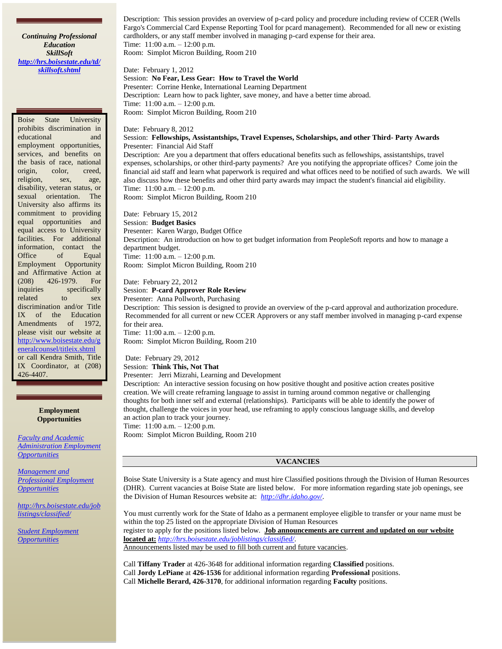*Continuing Professional Education SkillSoft [http://hrs.boisestate.edu/td/](http://hrs.boisestate.edu/td/skillsoft.shtml) [skillsoft.shtml](http://hrs.boisestate.edu/td/skillsoft.shtml)*

Boise State University prohibits discrimination in educational and employment opportunities, services, and benefits on the basis of race, national origin, color, creed, religion, sex, age, disability, veteran status, or sexual orientation. The University also affirms its commitment to providing equal opportunities and equal access to University facilities. For additional information, contact the Office of Equal Employment Opportunity and Affirmative Action at (208) 426-1979. For inquiries specifically related to sex discrimination and/or Title IX of the Education Amendments of 1972, please visit our website at [http://www.boisestate.edu/g](http://www.boisestate.edu/generalcounsel/titleix.shtml) [eneralcounsel/titleix.shtml](http://www.boisestate.edu/generalcounsel/titleix.shtml) or call Kendra Smith, Title IX Coordinator, at (208) 426-4407.

> **Employment Opportunities**

*[Faculty and Academic](http://hrs.boisestate.edu/joblistings/faculty/)  [Administration Employment](http://hrs.boisestate.edu/joblistings/faculty/)  [Opportunities](http://hrs.boisestate.edu/joblistings/faculty/)*

*[Management and](http://hrs.boisestate.edu/joblistings/professional/)  [Professional Employment](http://hrs.boisestate.edu/joblistings/professional/)  [Opportunities](http://hrs.boisestate.edu/joblistings/professional/)*

*[http://hrs.boisestate.edu/job](http://hrs.boisestate.edu/joblistings/classified/) [listings/classified/](http://hrs.boisestate.edu/joblistings/classified/)*

*[Student Employment](http://career.boisestate.edu/careeremployment/)  [Opportunities](http://career.boisestate.edu/careeremployment/)*

Description: This session provides an overview of p-card policy and procedure including review of CCER (Wells Fargo's Commercial Card Expense Reporting Tool for pcard management). Recommended for all new or existing cardholders, or any staff member involved in managing p-card expense for their area. Time: 11:00 a.m. – 12:00 p.m. Room: Simplot Micron Building, Room 210

Date: February 1, 2012 Session: **No Fear, Less Gear: How to Travel the World** Presenter: Corrine Henke, International Learning Department Description: Learn how to pack lighter, save money, and have a better time abroad. Time: 11:00 a.m. – 12:00 p.m. Room: Simplot Micron Building, Room 210

#### Date: February 8, 2012

#### Session: **Fellowships, Assistantships, Travel Expenses, Scholarships, and other Third- Party Awards** Presenter: Financial Aid Staff

Description: Are you a department that offers educational benefits such as fellowships, assistantships, travel expenses, scholarships, or other third-party payments? Are you notifying the appropriate offices? Come join the financial aid staff and learn what paperwork is required and what offices need to be notified of such awards. We will also discuss how these benefits and other third party awards may impact the student's financial aid eligibility. Time: 11:00 a.m. – 12:00 p.m.

Room: Simplot Micron Building, Room 210

Date: February 15, 2012 Session: **Budget Basics** Presenter: Karen Wargo, Budget Office Description: An introduction on how to get budget information from PeopleSoft reports and how to manage a department budget. Time: 11:00 a.m. – 12:00 p.m. Room: Simplot Micron Building, Room 210

Date: February 22, 2012 Session: **P-card Approver Role Review**

Presenter: Anna Pollworth, Purchasing Description: This session is designed to provide an overview of the p-card approval and authorization procedure. Recommended for all current or new CCER Approvers or any staff member involved in managing p-card expense for their area. Time: 11:00 a.m. – 12:00 p.m.

Room: Simplot Micron Building, Room 210

Date: February 29, 2012 Session: **Think This, Not That** Presenter: Jerri Mizrahi, Learning and Development

Description: An interactive session focusing on how positive thought and positive action creates positive creation. We will create reframing language to assist in turning around common negative or challenging thoughts for both inner self and external (relationships). Participants will be able to identify the power of thought, challenge the voices in your head, use reframing to apply conscious language skills, and develop an action plan to track your journey. Time: 11:00 a.m. – 12:00 p.m.

Room: Simplot Micron Building, Room 210

#### **VACANCIES**

Boise State University is a State agency and must hire Classified positions through the Division of Human Resources (DHR). Current vacancies at Boise State are listed below. For more information regarding state job openings, see the Division of Human Resources website at: *<http://dhr.idaho.gov/>*.

You must currently work for the State of Idaho as a permanent employee eligible to transfer or your name must be within the top 25 listed on the appropriate Division of Human Resources register to apply for the positions listed below. **Job announcements are current and updated on our website located at:** *<http://hrs.boisestate.edu/joblistings/classified/>*. Announcements listed may be used to fill both current and future vacancies.

Call **Tiffany Trader** at 426-3648 for additional information regarding **Classified** positions. Call **Jordy LePiane** at **426-1536** for additional information regarding **Professional** positions. Call **Michelle Berard, 426-3170**, for additional information regarding **Faculty** positions.